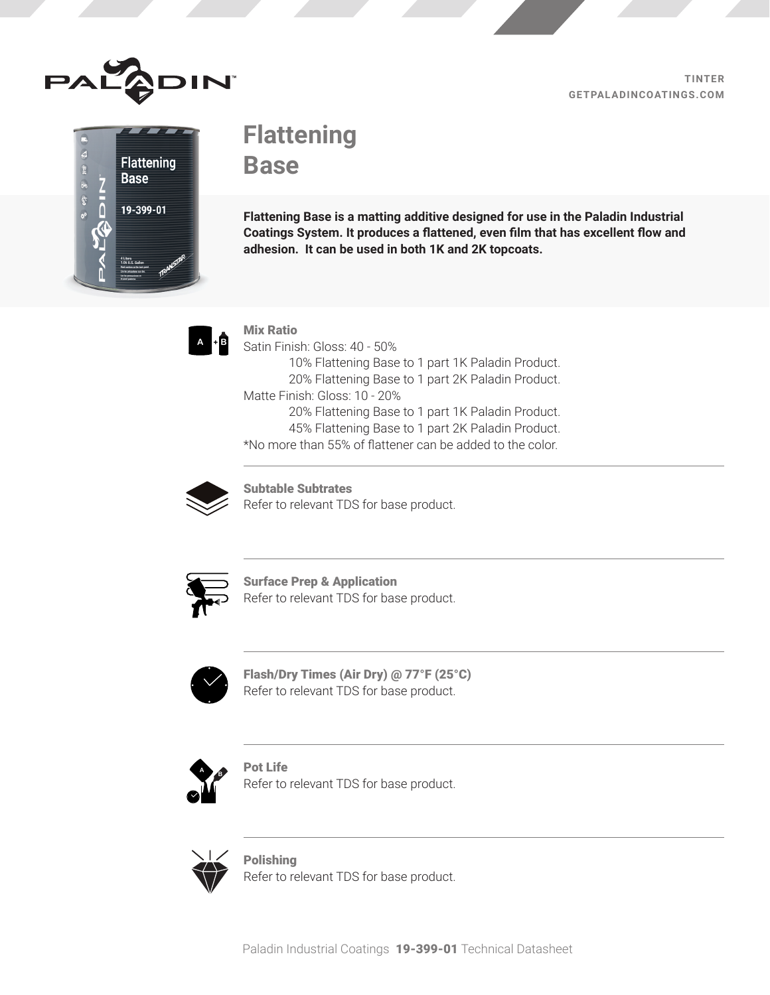

**TINTER GETPALADINCOATINGS.COM**



# **Flattening**

**Base**

**Flattening Base is a matting additive designed for use in the Paladin Industrial Coatings System. It produces a flattened, even film that has excellent flow and adhesion. It can be used in both 1K and 2K topcoats.** 



## Mix Ratio

Satin Finish: Gloss: 40 - 50% 10% Flattening Base to 1 part 1K Paladin Product. 20% Flattening Base to 1 part 2K Paladin Product. Matte Finish: Gloss: 10 - 20% 20% Flattening Base to 1 part 1K Paladin Product. 45% Flattening Base to 1 part 2K Paladin Product. \*No more than 55% of flattener can be added to the color.



Subtable Subtrates Refer to relevant TDS for base product.



Surface Prep & Application Refer to relevant TDS for base product.



Flash/Dry Times (Air Dry) @ 77°F (25°C) Refer to relevant TDS for base product.



Pot Life Refer to relevant TDS for base product.



Polishing Refer to relevant TDS for base product.